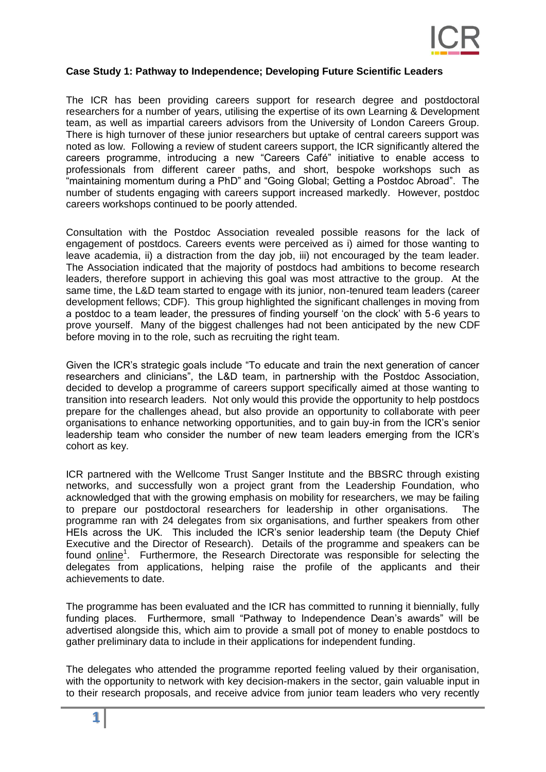

## **Case Study 1: Pathway to Independence; Developing Future Scientific Leaders**

The ICR has been providing careers support for research degree and postdoctoral researchers for a number of years, utilising the expertise of its own Learning & Development team, as well as impartial careers advisors from the University of London Careers Group. There is high turnover of these junior researchers but uptake of central careers support was noted as low. Following a review of student careers support, the ICR significantly altered the careers programme, introducing a new "Careers Café" initiative to enable access to professionals from different career paths, and short, bespoke workshops such as "maintaining momentum during a PhD" and "Going Global; Getting a Postdoc Abroad". The number of students engaging with careers support increased markedly. However, postdoc careers workshops continued to be poorly attended.

Consultation with the Postdoc Association revealed possible reasons for the lack of engagement of postdocs. Careers events were perceived as i) aimed for those wanting to leave academia, ii) a distraction from the day job, iii) not encouraged by the team leader. The Association indicated that the majority of postdocs had ambitions to become research leaders, therefore support in achieving this goal was most attractive to the group. At the same time, the L&D team started to engage with its junior, non-tenured team leaders (career development fellows; CDF). This group highlighted the significant challenges in moving from a postdoc to a team leader, the pressures of finding yourself 'on the clock' with 5-6 years to prove yourself. Many of the biggest challenges had not been anticipated by the new CDF before moving in to the role, such as recruiting the right team.

Given the ICR's strategic goals include "To educate and train the next generation of cancer researchers and clinicians", the L&D team, in partnership with the Postdoc Association, decided to develop a programme of careers support specifically aimed at those wanting to transition into research leaders. Not only would this provide the opportunity to help postdocs prepare for the challenges ahead, but also provide an opportunity to collaborate with peer organisations to enhance networking opportunities, and to gain buy-in from the ICR's senior leadership team who consider the number of new team leaders emerging from the ICR's cohort as key.

ICR partnered with the Wellcome Trust Sanger Institute and the BBSRC through existing networks, and successfully won a project grant from the Leadership Foundation, who acknowledged that with the growing emphasis on mobility for researchers, we may be failing to prepare our postdoctoral researchers for leadership in other organisations. The programme ran with 24 delegates from six organisations, and further speakers from other HEIs across the UK. This included the ICR's senior leadership team (the Deputy Chief Executive and the Director of Research). Details of the programme and speakers can be found [online](http://training.icr.ac.uk/pathway/)<sup>1</sup>. Furthermore, the Research Directorate was responsible for selecting the delegates from applications, helping raise the profile of the applicants and their achievements to date.

The programme has been evaluated and the ICR has committed to running it biennially, fully funding places. Furthermore, small "Pathway to Independence Dean's awards" will be advertised alongside this, which aim to provide a small pot of money to enable postdocs to gather preliminary data to include in their applications for independent funding.

The delegates who attended the programme reported feeling valued by their organisation, with the opportunity to network with key decision-makers in the sector, gain valuable input in to their research proposals, and receive advice from junior team leaders who very recently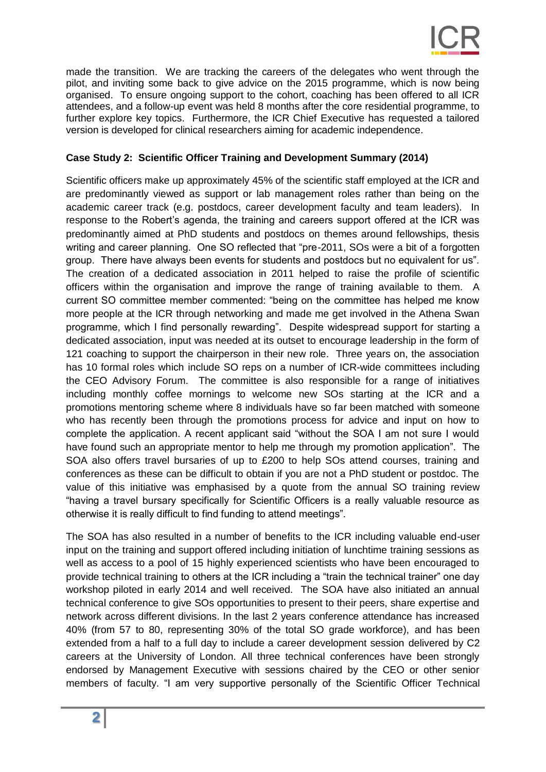

made the transition. We are tracking the careers of the delegates who went through the pilot, and inviting some back to give advice on the 2015 programme, which is now being organised. To ensure ongoing support to the cohort, coaching has been offered to all ICR attendees, and a follow-up event was held 8 months after the core residential programme, to further explore key topics. Furthermore, the ICR Chief Executive has requested a tailored version is developed for clinical researchers aiming for academic independence.

## **Case Study 2: Scientific Officer Training and Development Summary (2014)**

Scientific officers make up approximately 45% of the scientific staff employed at the ICR and are predominantly viewed as support or lab management roles rather than being on the academic career track (e.g. postdocs, career development faculty and team leaders). In response to the Robert's agenda, the training and careers support offered at the ICR was predominantly aimed at PhD students and postdocs on themes around fellowships, thesis writing and career planning. One SO reflected that "pre-2011, SOs were a bit of a forgotten group. There have always been events for students and postdocs but no equivalent for us". The creation of a dedicated association in 2011 helped to raise the profile of scientific officers within the organisation and improve the range of training available to them. A current SO committee member commented: "being on the committee has helped me know more people at the ICR through networking and made me get involved in the Athena Swan programme, which I find personally rewarding". Despite widespread support for starting a dedicated association, input was needed at its outset to encourage leadership in the form of 121 coaching to support the chairperson in their new role. Three years on, the association has 10 formal roles which include SO reps on a number of ICR-wide committees including the CEO Advisory Forum. The committee is also responsible for a range of initiatives including monthly coffee mornings to welcome new SOs starting at the ICR and a promotions mentoring scheme where 8 individuals have so far been matched with someone who has recently been through the promotions process for advice and input on how to complete the application. A recent applicant said "without the SOA I am not sure I would have found such an appropriate mentor to help me through my promotion application". The SOA also offers travel bursaries of up to £200 to help SOs attend courses, training and conferences as these can be difficult to obtain if you are not a PhD student or postdoc. The value of this initiative was emphasised by a quote from the annual SO training review "having a travel bursary specifically for Scientific Officers is a really valuable resource as otherwise it is really difficult to find funding to attend meetings".

The SOA has also resulted in a number of benefits to the ICR including valuable end-user input on the training and support offered including initiation of lunchtime training sessions as well as access to a pool of 15 highly experienced scientists who have been encouraged to provide technical training to others at the ICR including a "train the technical trainer" one day workshop piloted in early 2014 and well received. The SOA have also initiated an annual technical conference to give SOs opportunities to present to their peers, share expertise and network across different divisions. In the last 2 years conference attendance has increased 40% (from 57 to 80, representing 30% of the total SO grade workforce), and has been extended from a half to a full day to include a career development session delivered by C2 careers at the University of London. All three technical conferences have been strongly endorsed by Management Executive with sessions chaired by the CEO or other senior members of faculty. "I am very supportive personally of the Scientific Officer Technical